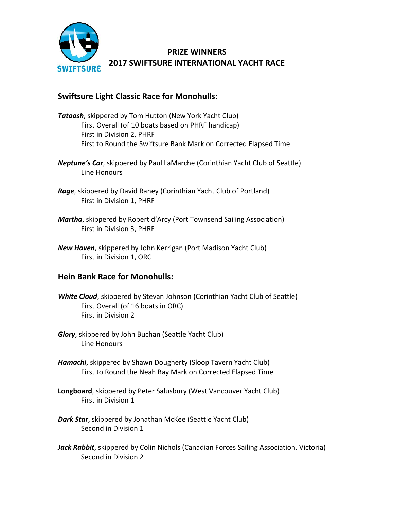

# **PRIZE WINNERS 2017 SWIFTSURE INTERNATIONAL YACHT RACE**

## **Swiftsure Light Classic Race for Monohulls:**

- *Tatoosh*, skippered by Tom Hutton (New York Yacht Club) First Overall (of 10 boats based on PHRF handicap) First in Division 2, PHRF First to Round the Swiftsure Bank Mark on Corrected Elapsed Time
- *Neptune's Car*, skippered by Paul LaMarche (Corinthian Yacht Club of Seattle) Line Honours
- *Rage*, skippered by David Raney (Corinthian Yacht Club of Portland) First in Division 1, PHRF
- *Martha*, skippered by Robert d'Arcy (Port Townsend Sailing Association) First in Division 3, PHRF
- *New Haven*, skippered by John Kerrigan (Port Madison Yacht Club) First in Division 1, ORC

## **Hein Bank Race for Monohulls:**

- *White Cloud*, skippered by Stevan Johnson (Corinthian Yacht Club of Seattle) First Overall (of 16 boats in ORC) First in Division 2
- *Glory*, skippered by John Buchan (Seattle Yacht Club) Line Honours
- *Hamachi*, skippered by Shawn Dougherty (Sloop Tavern Yacht Club) First to Round the Neah Bay Mark on Corrected Elapsed Time
- **Longboard**, skippered by Peter Salusbury (West Vancouver Yacht Club) First in Division 1
- *Dark Star*, skippered by Jonathan McKee (Seattle Yacht Club) Second in Division 1
- Jack Rabbit, skippered by Colin Nichols (Canadian Forces Sailing Association, Victoria) Second in Division 2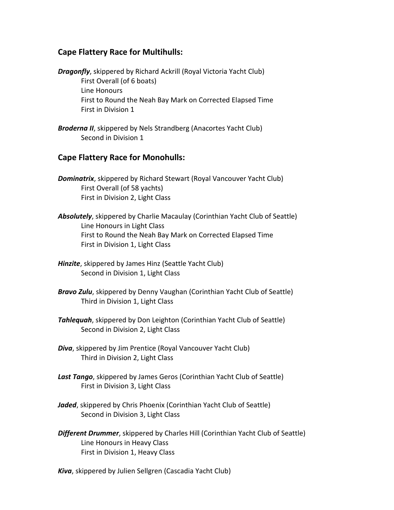#### **Cape Flattery Race for Multihulls:**

*Dragonfly*, skippered by Richard Ackrill (Royal Victoria Yacht Club) First Overall (of 6 boats) Line Honours First to Round the Neah Bay Mark on Corrected Elapsed Time First in Division 1

*Broderna II*, skippered by Nels Strandberg (Anacortes Yacht Club) Second in Division 1

#### **Cape Flattery Race for Monohulls:**

- *Dominatrix*, skippered by Richard Stewart (Royal Vancouver Yacht Club) First Overall (of 58 yachts) First in Division 2, Light Class
- *Absolutely*, skippered by Charlie Macaulay (Corinthian Yacht Club of Seattle) Line Honours in Light Class First to Round the Neah Bay Mark on Corrected Elapsed Time First in Division 1, Light Class
- *Hinzite*, skippered by James Hinz (Seattle Yacht Club) Second in Division 1, Light Class
- *Bravo Zulu*, skippered by Denny Vaughan (Corinthian Yacht Club of Seattle) Third in Division 1, Light Class
- *Tahlequah*, skippered by Don Leighton (Corinthian Yacht Club of Seattle) Second in Division 2, Light Class
- *Diva*, skippered by Jim Prentice (Royal Vancouver Yacht Club) Third in Division 2, Light Class
- *Last Tango*, skippered by James Geros (Corinthian Yacht Club of Seattle) First in Division 3, Light Class
- *Jaded*, skippered by Chris Phoenix (Corinthian Yacht Club of Seattle) Second in Division 3, Light Class
- *Different Drummer*, skippered by Charles Hill (Corinthian Yacht Club of Seattle) Line Honours in Heavy Class First in Division 1, Heavy Class
- *Kiva*, skippered by Julien Sellgren (Cascadia Yacht Club)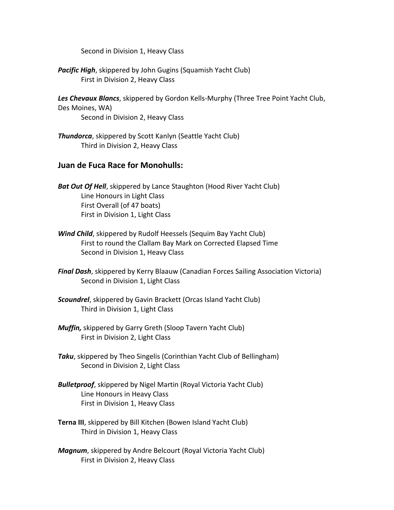Second in Division 1, Heavy Class

*Pacific High*, skippered by John Gugins (Squamish Yacht Club) First in Division 2, Heavy Class

*Les Chevaux Blancs*, skippered by Gordon Kells-Murphy (Three Tree Point Yacht Club, Des Moines, WA) Second in Division 2, Heavy Class

*Thundorca*, skippered by Scott Kanlyn (Seattle Yacht Club) Third in Division 2, Heavy Class

#### **Juan de Fuca Race for Monohulls:**

*Bat Out Of Hell*, skippered by Lance Staughton (Hood River Yacht Club) Line Honours in Light Class First Overall (of 47 boats) First in Division 1, Light Class

- *Wind Child*, skippered by Rudolf Heessels (Sequim Bay Yacht Club) First to round the Clallam Bay Mark on Corrected Elapsed Time Second in Division 1, Heavy Class
- *Final Dash*, skippered by Kerry Blaauw (Canadian Forces Sailing Association Victoria) Second in Division 1, Light Class
- *Scoundrel*, skippered by Gavin Brackett (Orcas Island Yacht Club) Third in Division 1, Light Class
- *Muffin,* skippered by Garry Greth (Sloop Tavern Yacht Club) First in Division 2, Light Class
- *Taku*, skippered by Theo Singelis (Corinthian Yacht Club of Bellingham) Second in Division 2, Light Class
- *Bulletproof*, skippered by Nigel Martin (Royal Victoria Yacht Club) Line Honours in Heavy Class First in Division 1, Heavy Class
- **Terna III**, skippered by Bill Kitchen (Bowen Island Yacht Club) Third in Division 1, Heavy Class
- *Magnum*, skippered by Andre Belcourt (Royal Victoria Yacht Club) First in Division 2, Heavy Class